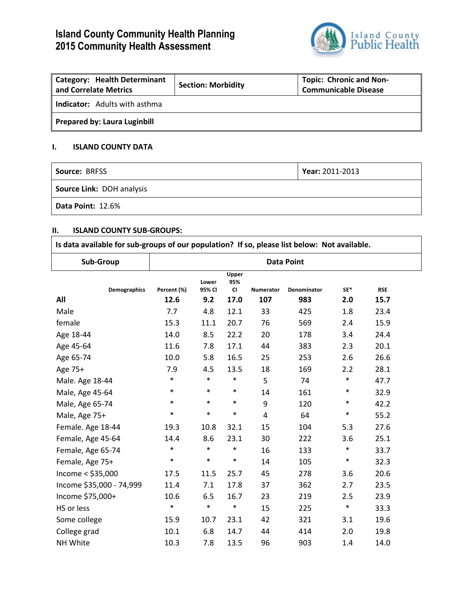# **Island County Community Health Planning 2015 Community Health Assessment**



| <b>Category: Health Determinant</b><br>and Correlate Metrics | <b>Section: Morbidity</b> | <b>Topic: Chronic and Non-</b><br><b>Communicable Disease</b> |
|--------------------------------------------------------------|---------------------------|---------------------------------------------------------------|
| <b>Indicator:</b> Adults with asthma                         |                           |                                                               |
| <b>Prepared by: Laura Luginbill</b>                          |                           |                                                               |

## **I. ISLAND COUNTY DATA**

| Source: BRFSS             | Year: 2011-2013 |
|---------------------------|-----------------|
| Source Link: DOH analysis |                 |
| <b>Data Point: 12.6%</b>  |                 |

### **II. ISLAND COUNTY SUB-GROUPS:**

| Is data available for sub-groups of our population? If so, please list below: Not available. |                   |                 |                           |           |             |        |            |  |
|----------------------------------------------------------------------------------------------|-------------------|-----------------|---------------------------|-----------|-------------|--------|------------|--|
| Sub-Group                                                                                    | <b>Data Point</b> |                 |                           |           |             |        |            |  |
| <b>Demographics</b>                                                                          | Percent (%)       | Lower<br>95% CI | Upper<br>95%<br><b>CI</b> | Numerator | Denominator | SE*    | <b>RSE</b> |  |
| All                                                                                          | 12.6              | 9.2             | 17.0                      | 107       | 983         | 2.0    | 15.7       |  |
| Male                                                                                         | 7.7               | 4.8             | 12.1                      | 33        | 425         | 1.8    | 23.4       |  |
| female                                                                                       | 15.3              | 11.1            | 20.7                      | 76        | 569         | 2.4    | 15.9       |  |
| Age 18-44                                                                                    | 14.0              | 8.5             | 22.2                      | 20        | 178         | 3.4    | 24.4       |  |
| Age 45-64                                                                                    | 11.6              | 7.8             | 17.1                      | 44        | 383         | 2.3    | 20.1       |  |
| Age 65-74                                                                                    | 10.0              | 5.8             | 16.5                      | 25        | 253         | 2.6    | 26.6       |  |
| Age 75+                                                                                      | 7.9               | 4.5             | 13.5                      | 18        | 169         | 2.2    | 28.1       |  |
| Male. Age 18-44                                                                              | $\ast$            | $\ast$          | $\ast$                    | 5         | 74          | $\ast$ | 47.7       |  |
| Male, Age 45-64                                                                              | $\ast$            | $\ast$          | $\ast$                    | 14        | 161         | $\ast$ | 32.9       |  |
| Male, Age 65-74                                                                              | $\ast$            | $\ast$          | $\ast$                    | 9         | 120         | $\ast$ | 42.2       |  |
| Male, Age 75+                                                                                | $\ast$            | $\ast$          | $\ast$                    | 4         | 64          | $\ast$ | 55.2       |  |
| Female. Age 18-44                                                                            | 19.3              | 10.8            | 32.1                      | 15        | 104         | 5.3    | 27.6       |  |
| Female, Age 45-64                                                                            | 14.4              | 8.6             | 23.1                      | 30        | 222         | 3.6    | 25.1       |  |
| Female, Age 65-74                                                                            | $\ast$            | $\ast$          | $\ast$                    | 16        | 133         | $\ast$ | 33.7       |  |
| Female, Age 75+                                                                              | $\ast$            | $\ast$          | $\ast$                    | 14        | 105         | $\ast$ | 32.3       |  |
| Income $<$ \$35,000                                                                          | 17.5              | 11.5            | 25.7                      | 45        | 278         | 3.6    | 20.6       |  |
| Income \$35,000 - 74,999                                                                     | 11.4              | 7.1             | 17.8                      | 37        | 362         | 2.7    | 23.5       |  |
| Income \$75,000+                                                                             | 10.6              | 6.5             | 16.7                      | 23        | 219         | 2.5    | 23.9       |  |
| HS or less                                                                                   | $\ast$            | $\ast$          | $\ast$                    | 15        | 225         | $\ast$ | 33.3       |  |
| Some college                                                                                 | 15.9              | 10.7            | 23.1                      | 42        | 321         | 3.1    | 19.6       |  |
| College grad                                                                                 | 10.1              | 6.8             | 14.7                      | 44        | 414         | 2.0    | 19.8       |  |
| NH White                                                                                     | 10.3              | 7.8             | 13.5                      | 96        | 903         | 1.4    | 14.0       |  |